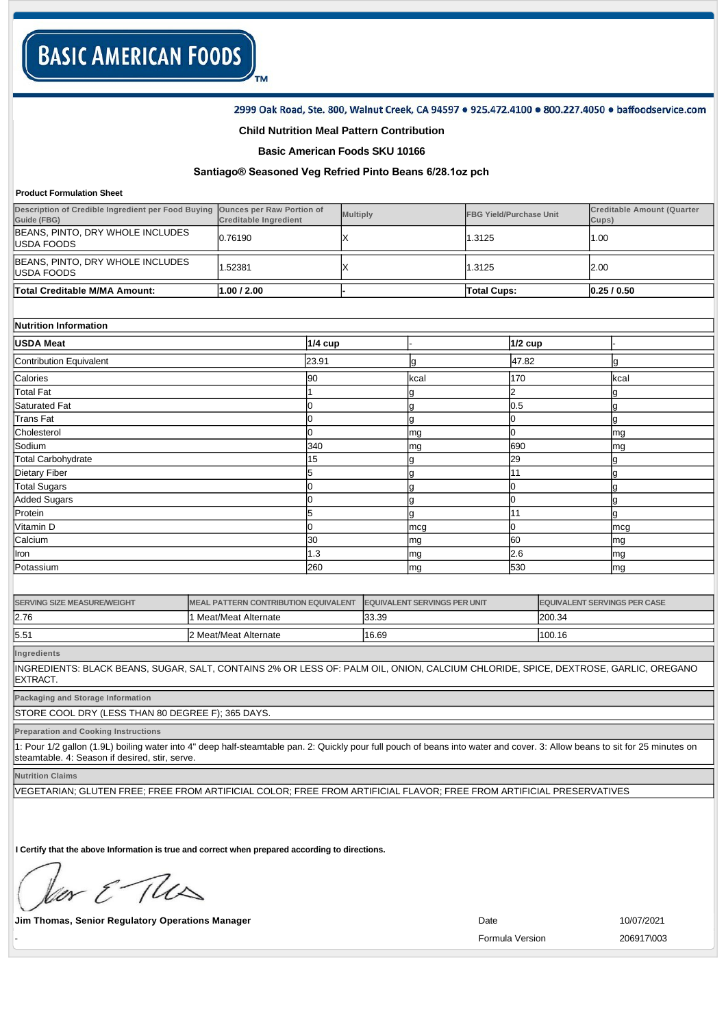### 2999 Oak Road, Ste. 800, Walnut Creek, CA 94597 . 925.472.4100 . 800.227.4050 . baffoodservice.com

### **Child Nutrition Meal Pattern Contribution**

TM

### **Basic American Foods SKU 10166**

# **Santiago® Seasoned Veg Refried Pinto Beans 6/28.1oz pch**

#### **Product Formulation Sheet**

| Total Creditable M/MA Amount:                                                               | 1.00 / 2.00                  |                 | <b>Total Cups:</b>             | 0.25/0.50                                  |
|---------------------------------------------------------------------------------------------|------------------------------|-----------------|--------------------------------|--------------------------------------------|
|                                                                                             |                              |                 |                                |                                            |
| BEANS, PINTO, DRY WHOLE INCLUDES<br>USDA FOODS                                              | .52381                       |                 | 1.3125                         | 2.00                                       |
| BEANS, PINTO, DRY WHOLE INCLUDES<br>USDA FOODS                                              | 0.76190                      |                 | 1.3125                         | 1.00                                       |
| Description of Credible Ingredient per Food Buying Ounces per Raw Portion of<br>Guide (FBG) | <b>Creditable Ingredient</b> | <b>Multiply</b> | <b>FBG Yield/Purchase Unit</b> | <b>Creditable Amount (Quarter</b><br>Cups) |

| Nutrition Information |
|-----------------------|
|                       |

| <b>USDA Meat</b>          | $1/4$ cup |      | $1/2$ cup |      |
|---------------------------|-----------|------|-----------|------|
| Contribution Equivalent   | 23.91     | g    | 47.82     | Ig   |
| Calories                  | 90        | kcal | 170       | kcal |
| <b>Total Fat</b>          |           | g    | 2         | 19   |
| Saturated Fat             |           | g    | 0.5       | g    |
| Trans Fat                 |           | g    |           | g    |
| Cholesterol               |           | mg   |           | mg   |
| Sodium                    | 340       | mg   | 690       | mg   |
| <b>Total Carbohydrate</b> | 15        | g    | 29        | 19   |
| Dietary Fiber             |           | g    | 11        | g    |
| <b>Total Sugars</b>       |           | g    |           |      |
| Added Sugars              |           | g    |           | ١g   |
| Protein                   |           | g    | l11       | lg   |
| Vitamin D                 |           | mcg  | 0         | mcg  |
| Calcium                   | 30        | mg   | 60        | mg   |
| Iron                      | 1.3       | mg   | 2.6       | mg   |
| Potassium                 | 260       | mg   | 530       | mg   |

| <b>SERVING SIZE MEASURE/WEIGHT</b> | MEAL PATTERN CONTRIBUTION EQUIVALENT | <b>EQUIVALENT SERVINGS PER UNIT</b> | <b>EQUIVALENT SERVINGS PER CASE</b> |
|------------------------------------|--------------------------------------|-------------------------------------|-------------------------------------|
| 2.76                               | 1 Meat/Meat Alternate                | 33.39                               | 200.34                              |
| 5.51                               | l2 Meat/Meat Alternate               | 16.69                               | 100.16                              |

**Ingredients**

INGREDIENTS: BLACK BEANS, SUGAR, SALT, CONTAINS 2% OR LESS OF: PALM OIL, ONION, CALCIUM CHLORIDE, SPICE, DEXTROSE, GARLIC, OREGANO EXTRACT.

**Packaging and Storage Information**

STORE COOL DRY (LESS THAN 80 DEGREE F); 365 DAYS.

**Preparation and Cooking Instructions**

1: Pour 1/2 gallon (1.9L) boiling water into 4" deep half-steamtable pan. 2: Quickly pour full pouch of beans into water and cover. 3: Allow beans to sit for 25 minutes on steamtable. 4: Season if desired, stir, serve.

**Nutrition Claims**

VEGETARIAN; GLUTEN FREE; FREE FROM ARTIFICIAL COLOR; FREE FROM ARTIFICIAL FLAVOR; FREE FROM ARTIFICIAL PRESERVATIVES

**I Certify that the above Information is true and correct when prepared according to directions.** 

or & The

**Jim Thomas, Senior Regulatory Operations Manager 10/07/2021 Date** 10/07/2021

- Formula Version 206917\003